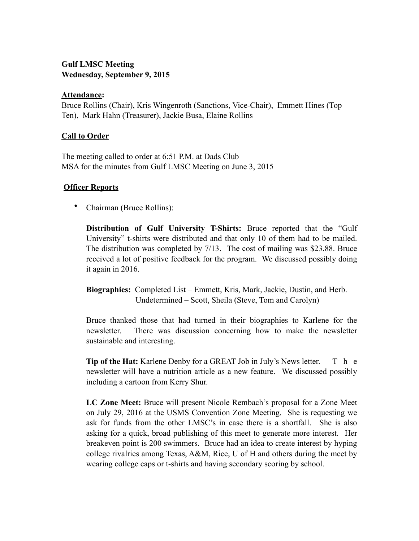# **Gulf LMSC Meeting Wednesday, September 9, 2015**

#### **Attendance:**

Bruce Rollins (Chair), Kris Wingenroth (Sanctions, Vice-Chair), Emmett Hines (Top Ten), Mark Hahn (Treasurer), Jackie Busa, Elaine Rollins

## **Call to Order**

The meeting called to order at 6:51 P.M. at Dads Club MSA for the minutes from Gulf LMSC Meeting on June 3, 2015

## **Officer Reports**

• Chairman (Bruce Rollins):

**Distribution of Gulf University T-Shirts:** Bruce reported that the "Gulf University" t-shirts were distributed and that only 10 of them had to be mailed. The distribution was completed by 7/13. The cost of mailing was \$23.88. Bruce received a lot of positive feedback for the program. We discussed possibly doing it again in 2016.

**Biographies:** Completed List – Emmett, Kris, Mark, Jackie, Dustin, and Herb. Undetermined – Scott, Sheila (Steve, Tom and Carolyn)

Bruce thanked those that had turned in their biographies to Karlene for the newsletter. There was discussion concerning how to make the newsletter sustainable and interesting.

**Tip of the Hat:** Karlene Denby for a GREAT Job in July's News letter. T h e newsletter will have a nutrition article as a new feature. We discussed possibly including a cartoon from Kerry Shur.

**LC Zone Meet:** Bruce will present Nicole Rembach's proposal for a Zone Meet on July 29, 2016 at the USMS Convention Zone Meeting. She is requesting we ask for funds from the other LMSC's in case there is a shortfall. She is also asking for a quick, broad publishing of this meet to generate more interest. Her breakeven point is 200 swimmers. Bruce had an idea to create interest by hyping college rivalries among Texas, A&M, Rice, U of H and others during the meet by wearing college caps or t-shirts and having secondary scoring by school.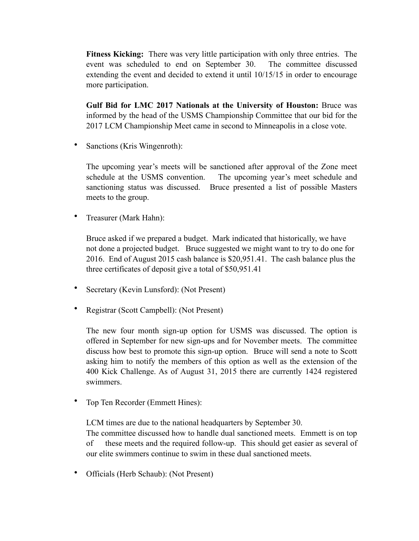**Fitness Kicking:** There was very little participation with only three entries. The event was scheduled to end on September 30. The committee discussed extending the event and decided to extend it until 10/15/15 in order to encourage more participation.

**Gulf Bid for LMC 2017 Nationals at the University of Houston:** Bruce was informed by the head of the USMS Championship Committee that our bid for the 2017 LCM Championship Meet came in second to Minneapolis in a close vote.

• Sanctions (Kris Wingenroth):

The upcoming year's meets will be sanctioned after approval of the Zone meet schedule at the USMS convention. The upcoming year's meet schedule and sanctioning status was discussed. Bruce presented a list of possible Masters meets to the group.

• Treasurer (Mark Hahn):

Bruce asked if we prepared a budget. Mark indicated that historically, we have not done a projected budget. Bruce suggested we might want to try to do one for 2016. End of August 2015 cash balance is \$20,951.41. The cash balance plus the three certificates of deposit give a total of \$50,951.41

- Secretary (Kevin Lunsford): (Not Present)
- Registrar (Scott Campbell): (Not Present)

The new four month sign-up option for USMS was discussed. The option is offered in September for new sign-ups and for November meets. The committee discuss how best to promote this sign-up option. Bruce will send a note to Scott asking him to notify the members of this option as well as the extension of the 400 Kick Challenge. As of August 31, 2015 there are currently 1424 registered swimmers.

• Top Ten Recorder (Emmett Hines):

LCM times are due to the national headquarters by September 30. The committee discussed how to handle dual sanctioned meets. Emmett is on top of these meets and the required follow-up. This should get easier as several of our elite swimmers continue to swim in these dual sanctioned meets.

• Officials (Herb Schaub): (Not Present)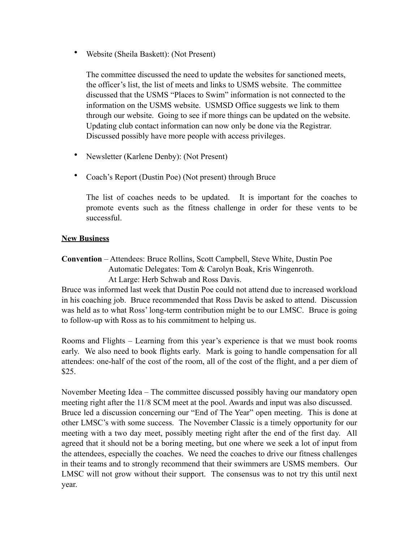• Website (Sheila Baskett): (Not Present)

The committee discussed the need to update the websites for sanctioned meets, the officer's list, the list of meets and links to USMS website. The committee discussed that the USMS "Places to Swim" information is not connected to the information on the USMS website. USMSD Office suggests we link to them through our website. Going to see if more things can be updated on the website. Updating club contact information can now only be done via the Registrar. Discussed possibly have more people with access privileges.

- Newsletter (Karlene Denby): (Not Present)
- Coach's Report (Dustin Poe) (Not present) through Bruce

The list of coaches needs to be updated. It is important for the coaches to promote events such as the fitness challenge in order for these vents to be successful.

## **New Business**

**Convention** – Attendees: Bruce Rollins, Scott Campbell, Steve White, Dustin Poe Automatic Delegates: Tom & Carolyn Boak, Kris Wingenroth. At Large: Herb Schwab and Ross Davis.

Bruce was informed last week that Dustin Poe could not attend due to increased workload in his coaching job. Bruce recommended that Ross Davis be asked to attend. Discussion was held as to what Ross' long-term contribution might be to our LMSC. Bruce is going to follow-up with Ross as to his commitment to helping us.

Rooms and Flights – Learning from this year's experience is that we must book rooms early. We also need to book flights early. Mark is going to handle compensation for all attendees: one-half of the cost of the room, all of the cost of the flight, and a per diem of \$25.

November Meeting Idea – The committee discussed possibly having our mandatory open meeting right after the 11/8 SCM meet at the pool. Awards and input was also discussed. Bruce led a discussion concerning our "End of The Year" open meeting. This is done at other LMSC's with some success. The November Classic is a timely opportunity for our meeting with a two day meet, possibly meeting right after the end of the first day. All agreed that it should not be a boring meeting, but one where we seek a lot of input from the attendees, especially the coaches. We need the coaches to drive our fitness challenges in their teams and to strongly recommend that their swimmers are USMS members. Our LMSC will not grow without their support. The consensus was to not try this until next year.